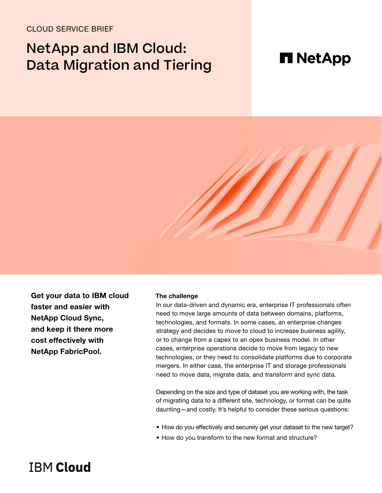# CLOUD SERVICE BRIEF

# NetApp and IBM Cloud: Data Migration and Tiering

# **H** NetApp



Get your data to IBM cloud faster and easier with NetApp Cloud Sync, and keep it there more cost effectively with NetApp FabricPool.

#### **The challenge**

In our data-driven and dynamic era, enterprise IT professionals often need to move large amounts of data between domains, platforms, technologies, and formats. In some cases, an enterprise changes strategy and decides to move to cloud to increase business agility, or to change from a capex to an opex business model. In other cases, enterprise operations decide to move from legacy to new technologies, or they need to consolidate platforms due to corporate mergers. In either case, the enterprise IT and storage professionals need to move data, migrate data, and transform and sync data.

Depending on the size and type of dataset you are working with, the task of migrating data to a different site, technology, or format can be quite daunting—and costly. It's helpful to consider these serious questions:

- How do you effectively and securely get your dataset to the new target?
- How do you transform to the new format and structure?

# **TRM Cloud**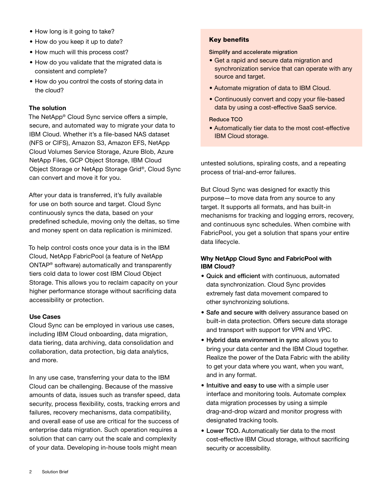- How long is it going to take?
- How do you keep it up to date?
- How much will this process cost?
- How do you validate that the migrated data is consistent and complete?
- How do you control the costs of storing data in the cloud?

## **The solution**

The NetApp® Cloud Sync service offers a simple, secure, and automated way to migrate your data to IBM Cloud. Whether it's a file-based NAS dataset (NFS or CIFS), Amazon S3, Amazon EFS, NetApp Cloud Volumes Service Storage, Azure Blob, Azure NetApp Files, GCP Object Storage, IBM Cloud Object Storage or NetApp Storage Grid®, Cloud Sync can convert and move it for you.

After your data is transferred, it's fully available for use on both source and target. Cloud Sync continuously syncs the data, based on your predefined schedule, moving only the deltas, so time and money spent on data replication is minimized.

To help control costs once your data is in the IBM Cloud, NetApp FabricPool (a feature of NetApp ONTAP® software) automatically and transparently tiers cold data to lower cost IBM Cloud Object Storage. This allows you to reclaim capacity on your higher performance storage without sacrificing data accessibility or protection.

#### Use Cases

Cloud Sync can be employed in various use cases, including IBM Cloud onboarding, data migration, data tiering, data archiving, data consolidation and collaboration, data protection, big data analytics, and more.

In any use case, transferring your data to the IBM Cloud can be challenging. Because of the massive amounts of data, issues such as transfer speed, data security, process flexibility, costs, tracking errors and failures, recovery mechanisms, data compatibility, and overall ease of use are critical for the success of enterprise data migration. Such operation requires a solution that can carry out the scale and complexity of your data. Developing in-house tools might mean

## Key benefits

Simplify and accelerate migration

- Get a rapid and secure data migration and synchronization service that can operate with any source and target.
- Automate migration of data to IBM Cloud.
- Continuously convert and copy your file-based data by using a cost-effective SaaS service.

### Reduce TCO

• Automatically tier data to the most cost-effective IBM Cloud storage.

untested solutions, spiraling costs, and a repeating process of trial-and-error failures.

But Cloud Sync was designed for exactly this purpose—to move data from any source to any target. It supports all formats, and has built-in mechanisms for tracking and logging errors, recovery, and continuous sync schedules. When combine with FabricPool, you get a solution that spans your entire data lifecycle.

# Why NetApp Cloud Sync and FabricPool with IBM Cloud?

- Quick and efficient with continuous, automated data synchronization. Cloud Sync provides extremely fast data movement compared to other synchronizing solutions.
- Safe and secure with delivery assurance based on built-in data protection. Offers secure data storage and transport with support for VPN and VPC.
- Hybrid data environment in sync allows you to bring your data center and the IBM Cloud together. Realize the power of the Data Fabric with the ability to get your data where you want, when you want, and in any format.
- Intuitive and easy to use with a simple user interface and monitoring tools. Automate complex data migration processes by using a simple drag-and-drop wizard and monitor progress with designated tracking tools.
- Lower TCO. Automatically tier data to the most cost-effective IBM Cloud storage, without sacrificing security or accessibility.